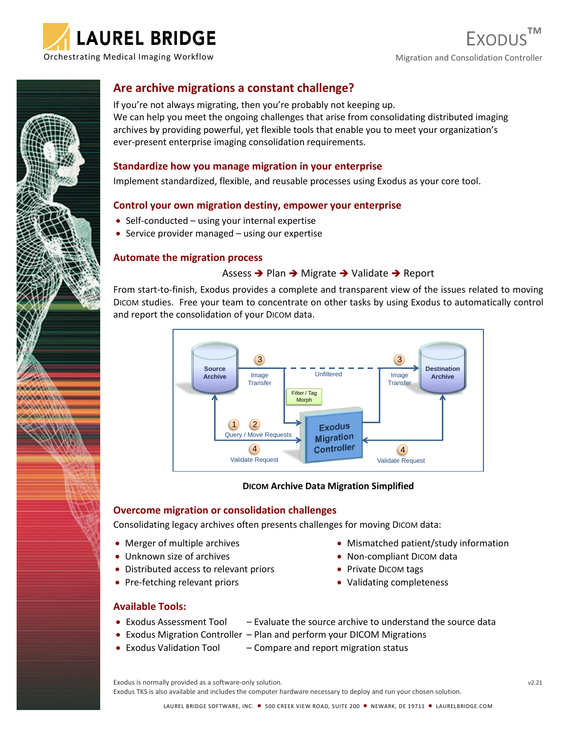



## **Are archive migrations a constant challenge?**

If you're not always migrating, then you're probably not keeping up. We can help you meet the ongoing challenges that arise from consolidating distributed imaging archives by providing powerful, yet flexible tools that enable you to meet your organization's ever-present enterprise imaging consolidation requirements.

### **Standardize how you manage migration in your enterprise**

Implement standardized, flexible, and reusable processes using Exodus as your core tool.

### **Control your own migration destiny, empower your enterprise**

- Self-conducted using your internal expertise
- Service provider managed using our expertise

### **Automate the migration process**

### Assess ➔ Plan ➔ Migrate ➔ Validate ➔ Report

From start-to-finish, Exodus provides a complete and transparent view of the issues related to moving DICOM studies. Free your team to concentrate on other tasks by using Exodus to automatically control and report the consolidation of your DICOM data.



### **DICOM Archive Data Migration Simplified**

### **Overcome migration or consolidation challenges**

Consolidating legacy archives often presents challenges for moving DICOM data:

- Merger of multiple archives
- Unknown size of archives
- Distributed access to relevant priors
- Pre-fetching relevant priors
- Mismatched patient/study information
- Non-compliant DICOM data
- Private DICOM tags
- Validating completeness

### **Available Tools:**

- Exodus Assessment Tool  $-$  Evaluate the source archive to understand the source data
- Exodus Migration Controller Plan and perform your DICOM Migrations
- Exodus Validation Tool Compare and report migration status

Exodus is normally provided as a software-only solution. v2.21

Exodus TKS is also available and includes the computer hardware necessary to deploy and run your chosen solution.